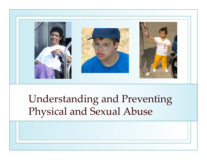

# Understanding and Preventing Physical and Sexual Abuse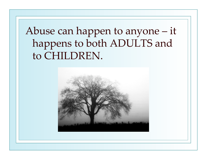# Abuse can happen to anyone – it happens to both ADULTS and to CHILDREN.

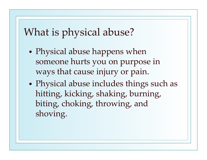### What is physical abuse?

- $\bullet$  Physical abuse happens when someone hurts you on purpose in ways that cause injury or pain.
- $\bullet$  Physical abuse includes things such as hitting, kicking, shaking, burning, biting, choking, throwing, and shoving.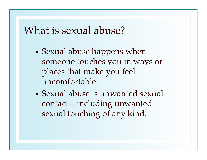#### What is sexual abuse?

- $\bullet$ • Sexual abuse happens when someone touches you in ways or places that make you feel uncomfortable.
- Sexual abuse is unwanted sexual contact—including unwanted sexual touching of any kind.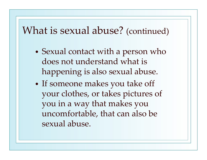#### What is sexual abuse? (continued)

- $\bullet$  Sexual contact with <sup>a</sup> person who does not understand what is happening is also sexual abuse.
- $\bullet$  If someone makes you take off your clothes, or takes pictures of you in <sup>a</sup> way that makes you uncomfortable, that can also be sexual abuse.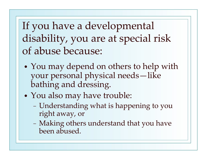If you have <sup>a</sup> developmental disability, you are at special risk of abuse because:

- $\bullet$ • You may depend on others to help with your personal physical needs—like bathing and dressing.
- • You also may have trouble:
	- Understanding what is happening to you right away, or
	- Making others understand that you have been abused.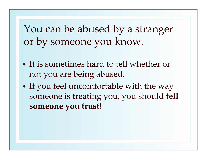You can be abused by <sup>a</sup> stranger or by someone you know.

- It is sometimes hard to tell whether or not you are being abused.
- $\bullet$ • If you feel uncomfortable with the way someone is treating you, you should **tell someone you trust!**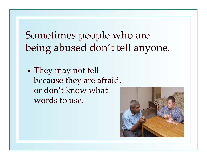Sometimes people who are being abused don't tell anyone.

 $\bullet$ • They may not tell because they are afraid, or don't know what words to use.

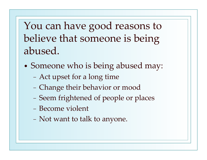You can have good reasons to believe that someone is being abused.

- $\bullet$  Someone who is being abused may:
	- Act upse<sup>t</sup> for <sup>a</sup> long time
	- Change their behavior or mood
	- − Seem frightened of people or places
	- − Become violent
	- Not want to talk to anyone.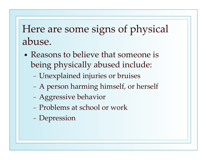## Here are some signs of physical abuse.

- Reasons to believe that someone is being physically abused include:
	- Unexplained injuries or bruises
	- A person harming himself, or herself
	- Aggressive behavior
	- − Problems at school or work
	- Depression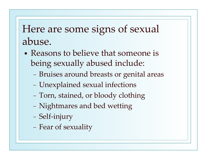## Here are some signs of sexual abuse.

- Reasons to believe that someone is being sexually abused include:
	- Bruises around breasts or genital areas
	- Unexplained sexual infections
	- Torn, stained, or bloody clothing
	- Nightmares and bed wetting
	- Self-injury
	- Fear of sexuality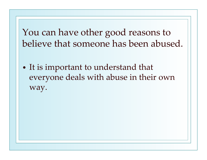You can have other good reasons to believe that someone has been abused.

 $\bullet$  It is important to understand that everyone deals with abuse in their own way.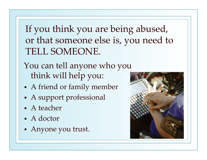If you think you are being abused, or that someone else is, you need to TELL SOMEONE.

You can tell anyone who you think will help you:

- •A friend or family member
- •A suppor<sup>t</sup> professional
- A teacher
- A doctor
- •Anyone you trust.

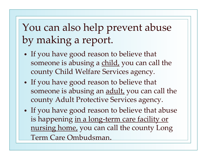# You can also help preven<sup>t</sup> abuse by making <sup>a</sup> report.

- • If you have good reason to believe that someone is abusing a child, you can call the county Child Welfare Services agency.
- • If you have good reason to believe that someone is abusing an **adult**, you can call the county Adult Protective Services agency.
- • If you have good reason to believe that abuse is happening in a long-term care facility or nursing home, you can call the county Long Term Care Ombudsman.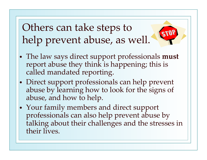Others can take steps to help preven<sup>t</sup> abuse, as well.

- The law says direct suppor<sup>t</sup> professionals **must** repor<sup>t</sup> abuse they think is happening; this is called mandated reporting.
- • Direct suppor<sup>t</sup> professionals can help preven<sup>t</sup> abuse by learning how to look for the signs of abuse, and how to help.
- • Your family members and direct suppor<sup>t</sup> professionals can also help preven<sup>t</sup> abuse by talking about their challenges and the stresses in their lives.